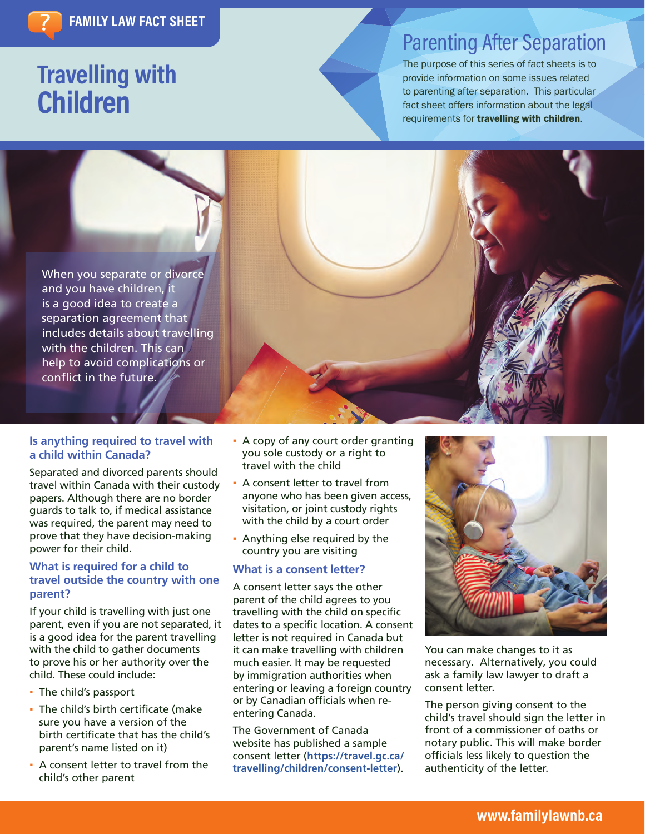# **Travelling with Children**

## Parenting After Separation

The purpose of this series of fact sheets is to provide information on some issues related to parenting after separation. This particular fact sheet offers information about the legal requirements for travelling with children.



#### **Is anything required to travel with a child within Canada?**

Separated and divorced parents should travel within Canada with their custody papers. Although there are no border guards to talk to, if medical assistance was required, the parent may need to prove that they have decision-making power for their child.

#### **What is required for a child to travel outside the country with one parent?**

If your child is travelling with just one parent, even if you are not separated, it is a good idea for the parent travelling with the child to gather documents to prove his or her authority over the child. These could include:

- The child's passport
- The child's birth certificate (make sure you have a version of the birth certificate that has the child's parent's name listed on it)
- A consent letter to travel from the child's other parent
- A copy of any court order granting you sole custody or a right to travel with the child
- A consent letter to travel from anyone who has been given access, visitation, or joint custody rights with the child by a court order
- Anything else required by the country you are visiting

#### **What is a consent letter?**

A consent letter says the other parent of the child agrees to you travelling with the child on specific dates to a specific location. A consent letter is not required in Canada but it can make travelling with children much easier. It may be requested by immigration authorities when entering or leaving a foreign country or by Canadian officials when reentering Canada.

The Government of Canada website has published a sample consent letter (**[https://travel.gc.ca/](https://travel.gc.ca/travelling/children/consent-letter) [travelling/children/consent-letter](https://travel.gc.ca/travelling/children/consent-letter)**).



You can make changes to it as necessary. Alternatively, you could ask a family law lawyer to draft a consent letter.

The person giving consent to the child's travel should sign the letter in front of a commissioner of oaths or notary public. This will make border officials less likely to question the authenticity of the letter.